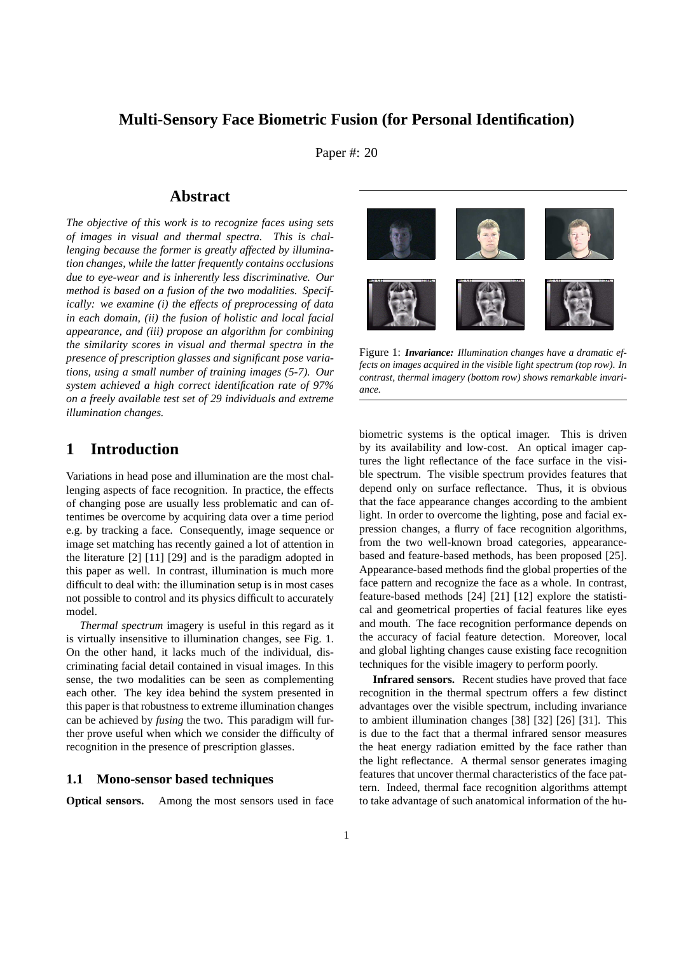# **Multi-Sensory Face Biometric Fusion (for Personal Identification)**

Paper #: 20

## **Abstract**

*The objective of this work is to recognize faces using sets of images in visual and thermal spectra. This is challenging because the former is greatly affected by illumination changes, while the latter frequently contains occlusions due to eye-wear and is inherently less discriminative. Our method is based on a fusion of the two modalities. Specifically: we examine (i) the effects of preprocessing of data in each domain, (ii) the fusion of holistic and local facial appearance, and (iii) propose an algorithm for combining the similarity scores in visual and thermal spectra in the presence of prescription glasses and significant pose variations, using a small number of training images (5-7). Our system achieved a high correct identification rate of 97% on a freely available test set of 29 individuals and extreme illumination changes.*

## **1 Introduction**

Variations in head pose and illumination are the most challenging aspects of face recognition. In practice, the effects of changing pose are usually less problematic and can oftentimes be overcome by acquiring data over a time period e.g. by tracking a face. Consequently, image sequence or image set matching has recently gained a lot of attention in the literature [2] [11] [29] and is the paradigm adopted in this paper as well. In contrast, illumination is much more difficult to deal with: the illumination setup is in most cases not possible to control and its physics difficult to accurately model.

*Thermal spectrum* imagery is useful in this regard as it is virtually insensitive to illumination changes, see Fig. 1. On the other hand, it lacks much of the individual, discriminating facial detail contained in visual images. In this sense, the two modalities can be seen as complementing each other. The key idea behind the system presented in this paper is that robustness to extreme illumination changes can be achieved by *fusing* the two. This paradigm will further prove useful when which we consider the difficulty of recognition in the presence of prescription glasses.

### **1.1 Mono-sensor based techniques**

**Optical sensors.** Among the most sensors used in face



Figure 1: *Invariance: Illumination changes have a dramatic effects on images acquired in the visible light spectrum (top row). In contrast, thermal imagery (bottom row) shows remarkable invariance.*

biometric systems is the optical imager. This is driven by its availability and low-cost. An optical imager captures the light reflectance of the face surface in the visible spectrum. The visible spectrum provides features that depend only on surface reflectance. Thus, it is obvious that the face appearance changes according to the ambient light. In order to overcome the lighting, pose and facial expression changes, a flurry of face recognition algorithms, from the two well-known broad categories, appearancebased and feature-based methods, has been proposed [25]. Appearance-based methods find the global properties of the face pattern and recognize the face as a whole. In contrast, feature-based methods [24] [21] [12] explore the statistical and geometrical properties of facial features like eyes and mouth. The face recognition performance depends on the accuracy of facial feature detection. Moreover, local and global lighting changes cause existing face recognition techniques for the visible imagery to perform poorly.

**Infrared sensors.** Recent studies have proved that face recognition in the thermal spectrum offers a few distinct advantages over the visible spectrum, including invariance to ambient illumination changes [38] [32] [26] [31]. This is due to the fact that a thermal infrared sensor measures the heat energy radiation emitted by the face rather than the light reflectance. A thermal sensor generates imaging features that uncover thermal characteristics of the face pattern. Indeed, thermal face recognition algorithms attempt to take advantage of such anatomical information of the hu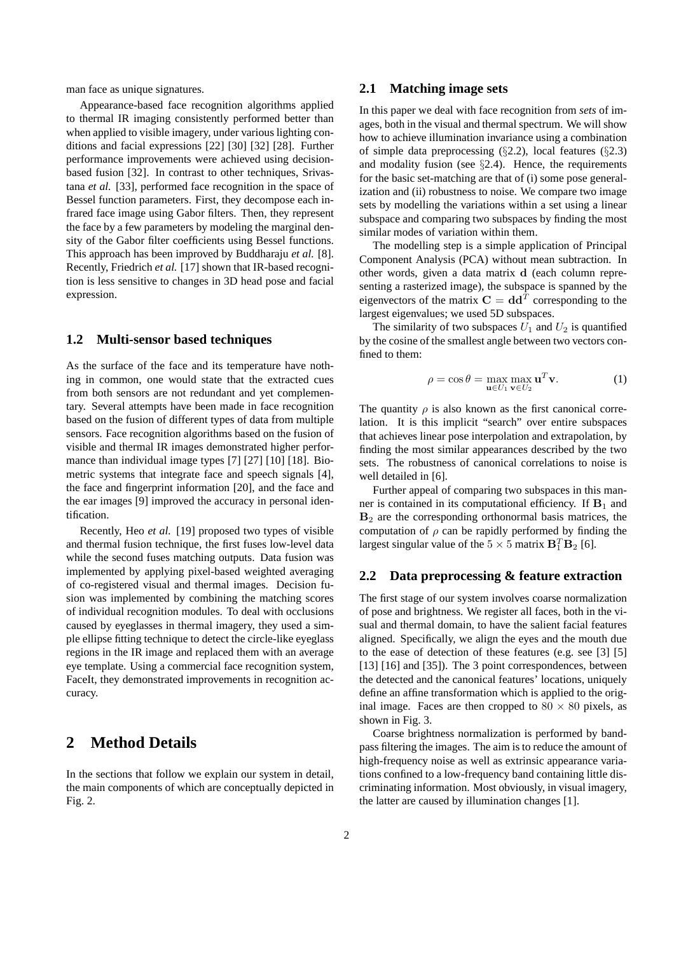man face as unique signatures.

Appearance-based face recognition algorithms applied to thermal IR imaging consistently performed better than when applied to visible imagery, under various lighting conditions and facial expressions [22] [30] [32] [28]. Further performance improvements were achieved using decisionbased fusion [32]. In contrast to other techniques, Srivastana *et al.* [33], performed face recognition in the space of Bessel function parameters. First, they decompose each infrared face image using Gabor filters. Then, they represent the face by a few parameters by modeling the marginal density of the Gabor filter coefficients using Bessel functions. This approach has been improved by Buddharaju *et al.* [8]. Recently, Friedrich *et al.* [17] shown that IR-based recognition is less sensitive to changes in 3D head pose and facial expression.

### **1.2 Multi-sensor based techniques**

As the surface of the face and its temperature have nothing in common, one would state that the extracted cues from both sensors are not redundant and yet complementary. Several attempts have been made in face recognition based on the fusion of different types of data from multiple sensors. Face recognition algorithms based on the fusion of visible and thermal IR images demonstrated higher performance than individual image types [7] [27] [10] [18]. Biometric systems that integrate face and speech signals [4], the face and fingerprint information [20], and the face and the ear images [9] improved the accuracy in personal identification.

Recently, Heo *et al.* [19] proposed two types of visible and thermal fusion technique, the first fuses low-level data while the second fuses matching outputs. Data fusion was implemented by applying pixel-based weighted averaging of co-registered visual and thermal images. Decision fusion was implemented by combining the matching scores of individual recognition modules. To deal with occlusions caused by eyeglasses in thermal imagery, they used a simple ellipse fitting technique to detect the circle-like eyeglass regions in the IR image and replaced them with an average eye template. Using a commercial face recognition system, FaceIt, they demonstrated improvements in recognition accuracy.

# **2 Method Details**

In the sections that follow we explain our system in detail, the main components of which are conceptually depicted in Fig. 2.

### **2.1 Matching image sets**

In this paper we deal with face recognition from *sets* of images, both in the visual and thermal spectrum. We will show how to achieve illumination invariance using a combination of simple data preprocessing  $(\S2.2)$ , local features  $(\S2.3)$ and modality fusion (see  $\S$ 2.4). Hence, the requirements for the basic set-matching are that of (i) some pose generalization and (ii) robustness to noise. We compare two image sets by modelling the variations within a set using a linear subspace and comparing two subspaces by finding the most similar modes of variation within them.

The modelling step is a simple application of Principal Component Analysis (PCA) without mean subtraction. In other words, given a data matrix d (each column representing a rasterized image), the subspace is spanned by the eigenvectors of the matrix  $\mathbf{C} = \mathbf{d} \mathbf{d}^T$  corresponding to the largest eigenvalues; we used 5D subspaces.

The similarity of two subspaces  $U_1$  and  $U_2$  is quantified by the cosine of the smallest angle between two vectors confined to them:

$$
\rho = \cos \theta = \max_{\mathbf{u} \in U_1} \max_{\mathbf{v} \in U_2} \mathbf{u}^T \mathbf{v}.
$$
 (1)

The quantity  $\rho$  is also known as the first canonical correlation. It is this implicit "search" over entire subspaces that achieves linear pose interpolation and extrapolation, by finding the most similar appearances described by the two sets. The robustness of canonical correlations to noise is well detailed in [6].

Further appeal of comparing two subspaces in this manner is contained in its computational efficiency. If  $B_1$  and  $B<sub>2</sub>$  are the corresponding orthonormal basis matrices, the computation of  $\rho$  can be rapidly performed by finding the largest singular value of the  $5 \times 5$  matrix  $\mathbf{B}_1^T \mathbf{B}_2$  [6].

### **2.2 Data preprocessing & feature extraction**

The first stage of our system involves coarse normalization of pose and brightness. We register all faces, both in the visual and thermal domain, to have the salient facial features aligned. Specifically, we align the eyes and the mouth due to the ease of detection of these features (e.g. see [3] [5] [13] [16] and [35]). The 3 point correspondences, between the detected and the canonical features' locations, uniquely define an affine transformation which is applied to the original image. Faces are then cropped to  $80 \times 80$  pixels, as shown in Fig. 3.

Coarse brightness normalization is performed by bandpass filtering the images. The aim is to reduce the amount of high-frequency noise as well as extrinsic appearance variations confined to a low-frequency band containing little discriminating information. Most obviously, in visual imagery, the latter are caused by illumination changes [1].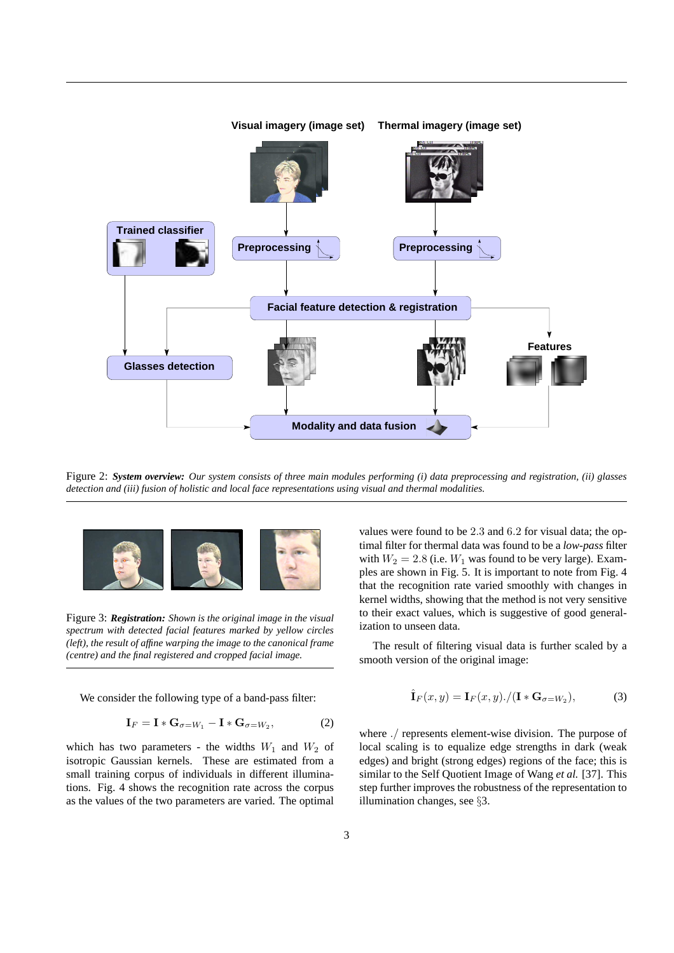

Figure 2: *System overview: Our system consists of three main modules performing (i) data preprocessing and registration, (ii) glasses detection and (iii) fusion of holistic and local face representations using visual and thermal modalities.*



Figure 3: *Registration: Shown is the original image in the visual spectrum with detected facial features marked by yellow circles (left), the result of affine warping the image to the canonical frame (centre) and the final registered and cropped facial image.*

We consider the following type of a band-pass filter:

$$
\mathbf{I}_F = \mathbf{I} * \mathbf{G}_{\sigma = W_1} - \mathbf{I} * \mathbf{G}_{\sigma = W_2},\tag{2}
$$

which has two parameters - the widths  $W_1$  and  $W_2$  of isotropic Gaussian kernels. These are estimated from a small training corpus of individuals in different illuminations. Fig. 4 shows the recognition rate across the corpus as the values of the two parameters are varied. The optimal

values were found to be 2.3 and 6.2 for visual data; the optimal filter for thermal data was found to be a *low-pass* filter with  $W_2 = 2.8$  (i.e.  $W_1$  was found to be very large). Examples are shown in Fig. 5. It is important to note from Fig. 4 that the recognition rate varied smoothly with changes in kernel widths, showing that the method is not very sensitive to their exact values, which is suggestive of good generalization to unseen data.

The result of filtering visual data is further scaled by a smooth version of the original image:

$$
\hat{\mathbf{I}}_F(x,y) = \mathbf{I}_F(x,y) \cdot / (\mathbf{I} \ast \mathbf{G}_{\sigma=W_2}),\tag{3}
$$

where ./ represents element-wise division. The purpose of local scaling is to equalize edge strengths in dark (weak edges) and bright (strong edges) regions of the face; this is similar to the Self Quotient Image of Wang *et al.* [37]. This step further improves the robustness of the representation to illumination changes, see §3.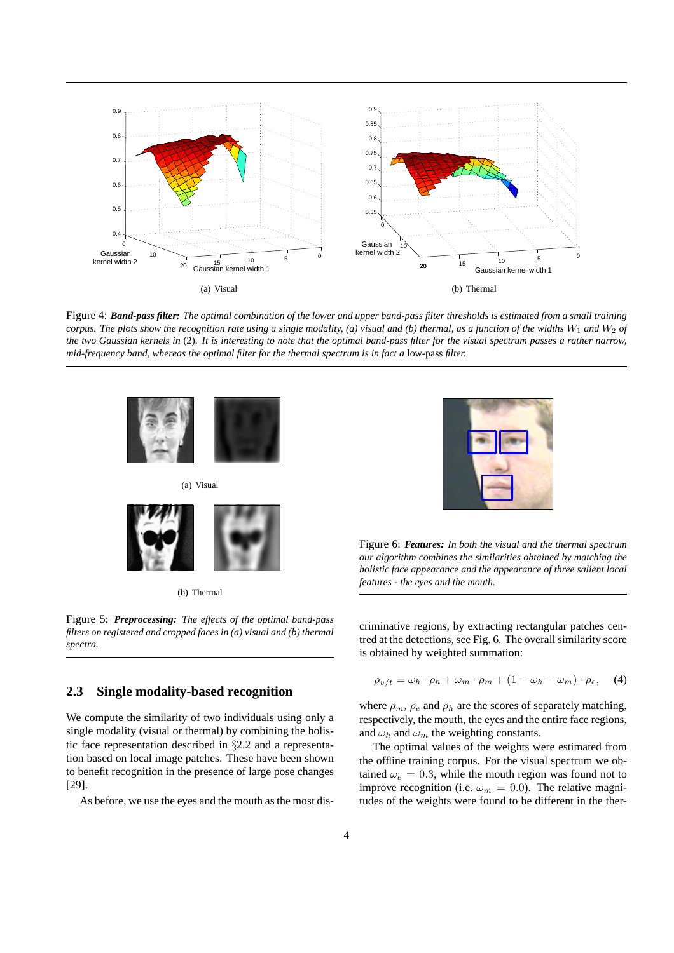

Figure 4: *Band-pass filter: The optimal combination of the lower and upper band-pass filter thresholds is estimated from a small training corpus. The plots show the recognition rate using a single modality, (a) visual and (b) thermal, as a function of the widths*  $W_1$  *and*  $W_2$  *of the two Gaussian kernels in* (2)*. It is interesting to note that the optimal band-pass filter for the visual spectrum passes a rather narrow, mid-frequency band, whereas the optimal filter for the thermal spectrum is in fact a* low-pass *filter.*





Figure 6: *Features: In both the visual and the thermal spectrum our algorithm combines the similarities obtained by matching the holistic face appearance and the appearance of three salient local features - the eyes and the mouth.*

criminative regions, by extracting rectangular patches centred at the detections, see Fig. 6. The overall similarity score is obtained by weighted summation:

$$
\rho_{v/t} = \omega_h \cdot \rho_h + \omega_m \cdot \rho_m + (1 - \omega_h - \omega_m) \cdot \rho_e, \quad (4)
$$

where  $\rho_m$ ,  $\rho_e$  and  $\rho_h$  are the scores of separately matching, respectively, the mouth, the eyes and the entire face regions, and  $\omega_h$  and  $\omega_m$  the weighting constants.

The optimal values of the weights were estimated from the offline training corpus. For the visual spectrum we obtained  $\omega_e = 0.3$ , while the mouth region was found not to improve recognition (i.e.  $\omega_m = 0.0$ ). The relative magnitudes of the weights were found to be different in the ther-

Figure 5: *Preprocessing: The effects of the optimal band-pass filters on registered and cropped faces in (a) visual and (b) thermal spectra.*

### **2.3 Single modality-based recognition**

We compute the similarity of two individuals using only a single modality (visual or thermal) by combining the holistic face representation described in §2.2 and a representation based on local image patches. These have been shown to benefit recognition in the presence of large pose changes [29].

As before, we use the eyes and the mouth as the most dis-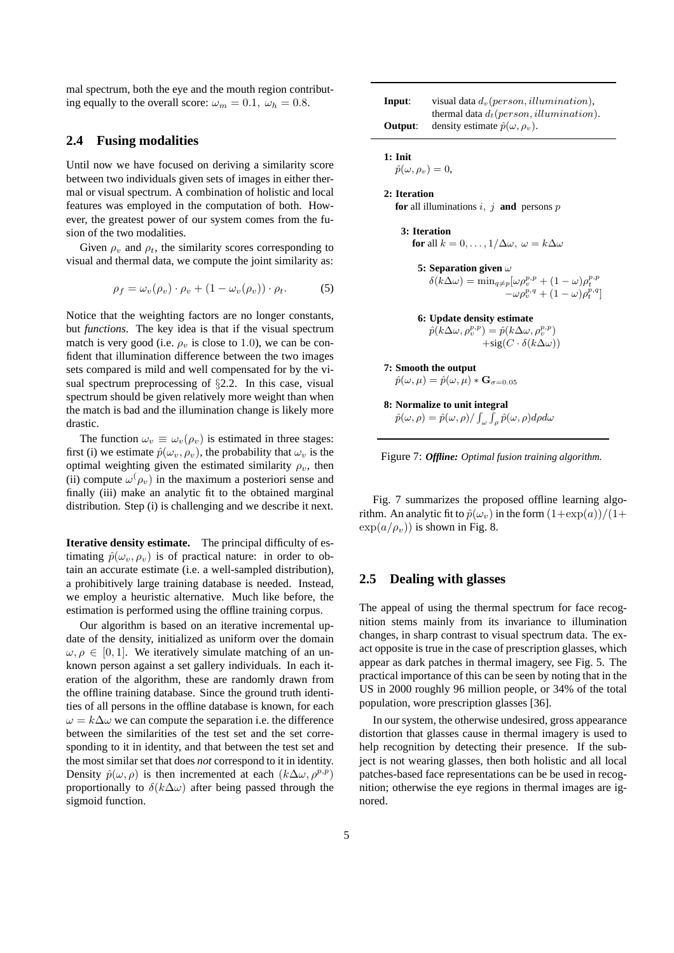mal spectrum, both the eye and the mouth region contributing equally to the overall score:  $\omega_m = 0.1$ ,  $\omega_h = 0.8$ .

### **2.4 Fusing modalities**

Until now we have focused on deriving a similarity score between two individuals given sets of images in either thermal or visual spectrum. A combination of holistic and local features was employed in the computation of both. However, the greatest power of our system comes from the fusion of the two modalities.

Given  $\rho_v$  and  $\rho_t$ , the similarity scores corresponding to visual and thermal data, we compute the joint similarity as:

$$
\rho_f = \omega_v(\rho_v) \cdot \rho_v + (1 - \omega_v(\rho_v)) \cdot \rho_t. \tag{5}
$$

Notice that the weighting factors are no longer constants, but *functions*. The key idea is that if the visual spectrum match is very good (i.e.  $\rho_n$  is close to 1.0), we can be confident that illumination difference between the two images sets compared is mild and well compensated for by the visual spectrum preprocessing of §2.2. In this case, visual spectrum should be given relatively more weight than when the match is bad and the illumination change is likely more drastic.

The function  $\omega_v \equiv \omega_v(\rho_v)$  is estimated in three stages: first (i) we estimate  $\hat{p}(\omega_v, \rho_v)$ , the probability that  $\omega_v$  is the optimal weighting given the estimated similarity  $\rho_v$ , then (ii) compute  $\omega(\rho_v)$  in the maximum a posteriori sense and finally (iii) make an analytic fit to the obtained marginal distribution. Step (i) is challenging and we describe it next.

**Iterative density estimate.** The principal difficulty of estimating  $\hat{p}(\omega_v, \rho_v)$  is of practical nature: in order to obtain an accurate estimate (i.e. a well-sampled distribution), a prohibitively large training database is needed. Instead, we employ a heuristic alternative. Much like before, the estimation is performed using the offline training corpus.

Our algorithm is based on an iterative incremental update of the density, initialized as uniform over the domain  $\omega, \rho \in [0, 1]$ . We iteratively simulate matching of an unknown person against a set gallery individuals. In each iteration of the algorithm, these are randomly drawn from the offline training database. Since the ground truth identities of all persons in the offline database is known, for each  $\omega = k\Delta\omega$  we can compute the separation i.e. the difference between the similarities of the test set and the set corresponding to it in identity, and that between the test set and the most similar set that does *not* correspond to it in identity. Density  $\hat{p}(\omega, \rho)$  is then incremented at each  $(k\Delta\omega, \rho^{p,p})$ proportionally to  $\delta(k\Delta\omega)$  after being passed through the sigmoid function.

| Input:  | visual data $d_v$ (person, illumination),    |
|---------|----------------------------------------------|
|         | thermal data $d_t$ (person, illumination).   |
| Output: | density estimate $\hat{p}(\omega, \rho_v)$ . |

 $\hat{p}(\omega, \rho_v) = 0,$ 

**2: Iteration for** all illuminations i, j **and** persons p

**3: Iteration for** all  $k = 0, \ldots, 1/\Delta\omega, \ \omega = k\Delta\omega$ 

**5: Separation given** ω  $\delta(\vec{k}\Delta\omega) = \min_{q\neq p} [\omega \rho_v^{p,p} + (1-\omega) \rho_t^{p,p}]$  $-\omega \rho_v^{p,q} + (1-\omega) \rho_t^{p,q}$ 

**6: Update density estimate**  $\hat{p}(k\Delta\omega,\rho_v^{p,p}) = \hat{p}(k\Delta\omega,\rho_v^{p,p})$ 

 $+sig(C \cdot \delta(k\Delta\omega))$ 

**7: Smooth the output**

 $\hat{p}(\omega,\mu) = \hat{p}(\omega,\mu) * \mathbf{G}_{\sigma=0.05}$ 

**8: Normalize to unit integral** R R

 $\hat{p}(\omega,\rho)=\hat{p}(\omega,\rho)/\int_{\omega}\int_{\rho}\hat{p}(\omega,\rho)d\rho d\omega$ 

Figure 7: *Offline: Optimal fusion training algorithm.*

Fig. 7 summarizes the proposed offline learning algorithm. An analytic fit to  $\hat{p}(\omega_v)$  in the form  $(1+\exp(a))/(1+\pi)$  $\exp(a/\rho_v)$ ) is shown in Fig. 8.

## **2.5 Dealing with glasses**

The appeal of using the thermal spectrum for face recognition stems mainly from its invariance to illumination changes, in sharp contrast to visual spectrum data. The exact opposite is true in the case of prescription glasses, which appear as dark patches in thermal imagery, see Fig. 5. The practical importance of this can be seen by noting that in the US in 2000 roughly 96 million people, or 34% of the total population, wore prescription glasses [36].

In our system, the otherwise undesired, gross appearance distortion that glasses cause in thermal imagery is used to help recognition by detecting their presence. If the subject is not wearing glasses, then both holistic and all local patches-based face representations can be be used in recognition; otherwise the eye regions in thermal images are ignored.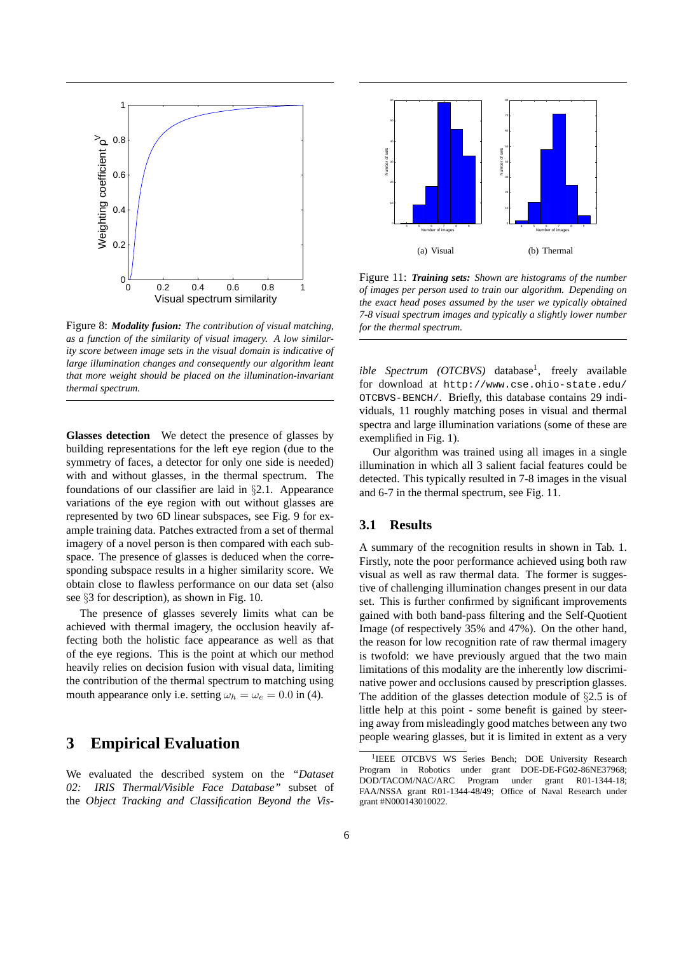

Figure 8: *Modality fusion: The contribution of visual matching, as a function of the similarity of visual imagery. A low similarity score between image sets in the visual domain is indicative of large illumination changes and consequently our algorithm leant that more weight should be placed on the illumination-invariant thermal spectrum.*

**Glasses detection** We detect the presence of glasses by building representations for the left eye region (due to the symmetry of faces, a detector for only one side is needed) with and without glasses, in the thermal spectrum. The foundations of our classifier are laid in §2.1. Appearance variations of the eye region with out without glasses are represented by two 6D linear subspaces, see Fig. 9 for example training data. Patches extracted from a set of thermal imagery of a novel person is then compared with each subspace. The presence of glasses is deduced when the corresponding subspace results in a higher similarity score. We obtain close to flawless performance on our data set (also see §3 for description), as shown in Fig. 10.

The presence of glasses severely limits what can be achieved with thermal imagery, the occlusion heavily affecting both the holistic face appearance as well as that of the eye regions. This is the point at which our method heavily relies on decision fusion with visual data, limiting the contribution of the thermal spectrum to matching using mouth appearance only i.e. setting  $\omega_h = \omega_e = 0.0$  in (4).

## **3 Empirical Evaluation**

We evaluated the described system on the *"Dataset 02: IRIS Thermal/Visible Face Database"* subset of the *Object Tracking and Classification Beyond the Vis-*



Figure 11: *Training sets: Shown are histograms of the number of images per person used to train our algorithm. Depending on the exact head poses assumed by the user we typically obtained 7-8 visual spectrum images and typically a slightly lower number for the thermal spectrum.*

*ible Spectrum (OTCBVS)* database<sup>1</sup>, freely available for download at http://www.cse.ohio-state.edu/ OTCBVS-BENCH/. Briefly, this database contains 29 individuals, 11 roughly matching poses in visual and thermal spectra and large illumination variations (some of these are exemplified in Fig. 1).

Our algorithm was trained using all images in a single illumination in which all 3 salient facial features could be detected. This typically resulted in 7-8 images in the visual and 6-7 in the thermal spectrum, see Fig. 11.

### **3.1 Results**

A summary of the recognition results in shown in Tab. 1. Firstly, note the poor performance achieved using both raw visual as well as raw thermal data. The former is suggestive of challenging illumination changes present in our data set. This is further confirmed by significant improvements gained with both band-pass filtering and the Self-Quotient Image (of respectively 35% and 47%). On the other hand, the reason for low recognition rate of raw thermal imagery is twofold: we have previously argued that the two main limitations of this modality are the inherently low discriminative power and occlusions caused by prescription glasses. The addition of the glasses detection module of §2.5 is of little help at this point - some benefit is gained by steering away from misleadingly good matches between any two people wearing glasses, but it is limited in extent as a very

<sup>&</sup>lt;sup>1</sup>IEEE OTCBVS WS Series Bench; DOE University Research Program in Robotics under grant DOE-DE-FG02-86NE37968; DOD/TACOM/NAC/ARC Program under grant R01-1344-18; FAA/NSSA grant R01-1344-48/49; Office of Naval Research under grant #N000143010022.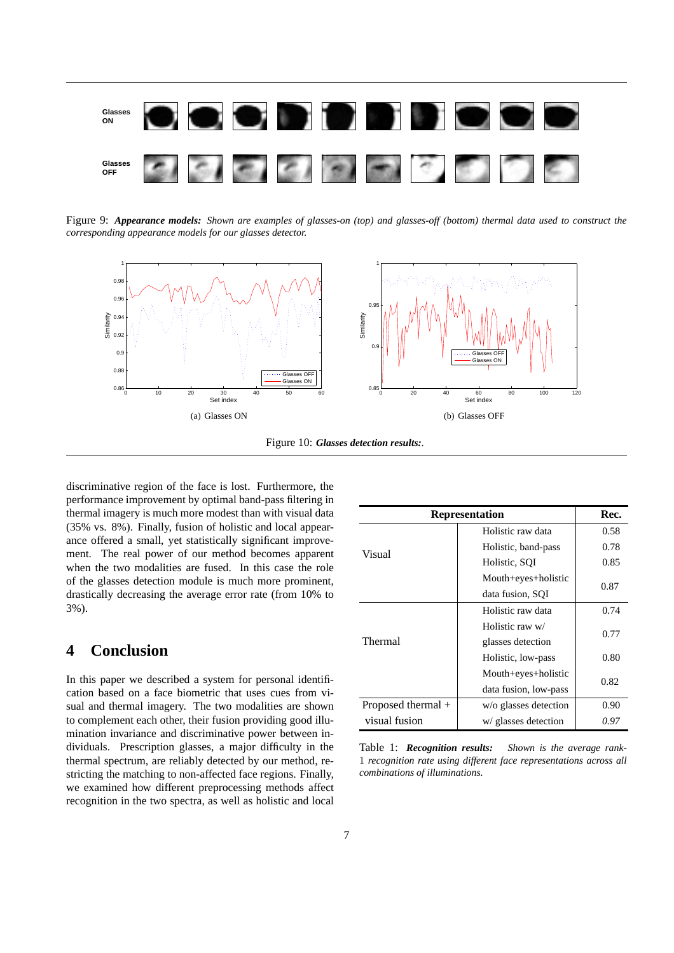

Figure 9: *Appearance models: Shown are examples of glasses-on (top) and glasses-off (bottom) thermal data used to construct the corresponding appearance models for our glasses detector.*





discriminative region of the face is lost. Furthermore, the performance improvement by optimal band-pass filtering in thermal imagery is much more modest than with visual data (35% vs. 8%). Finally, fusion of holistic and local appearance offered a small, yet statistically significant improvement. The real power of our method becomes apparent when the two modalities are fused. In this case the role of the glasses detection module is much more prominent, drastically decreasing the average error rate (from 10% to 3%).

# **4 Conclusion**

In this paper we described a system for personal identification based on a face biometric that uses cues from visual and thermal imagery. The two modalities are shown to complement each other, their fusion providing good illumination invariance and discriminative power between individuals. Prescription glasses, a major difficulty in the thermal spectrum, are reliably detected by our method, restricting the matching to non-affected face regions. Finally, we examined how different preprocessing methods affect recognition in the two spectra, as well as holistic and local

| <b>Representation</b> | Rec.                  |      |
|-----------------------|-----------------------|------|
|                       | Holistic raw data     | 0.58 |
| Visual                | Holistic, band-pass   | 0.78 |
|                       | Holistic, SQI         | 0.85 |
|                       | Mouth+eyes+holistic   | 0.87 |
|                       | data fusion, SQI      |      |
|                       | Holistic raw data     | 0.74 |
|                       | Holistic raw w/       | 0.77 |
| Thermal               | glasses detection     |      |
|                       | Holistic, low-pass    | 0.80 |
|                       | Mouth+eyes+holistic   | 0.82 |
|                       | data fusion, low-pass |      |
| Proposed thermal $+$  | w/o glasses detection | 0.90 |
| visual fusion         | w/ glasses detection  | 0.97 |

Table 1: *Recognition results: Shown is the average rank-*1 *recognition rate using different face representations across all combinations of illuminations.*